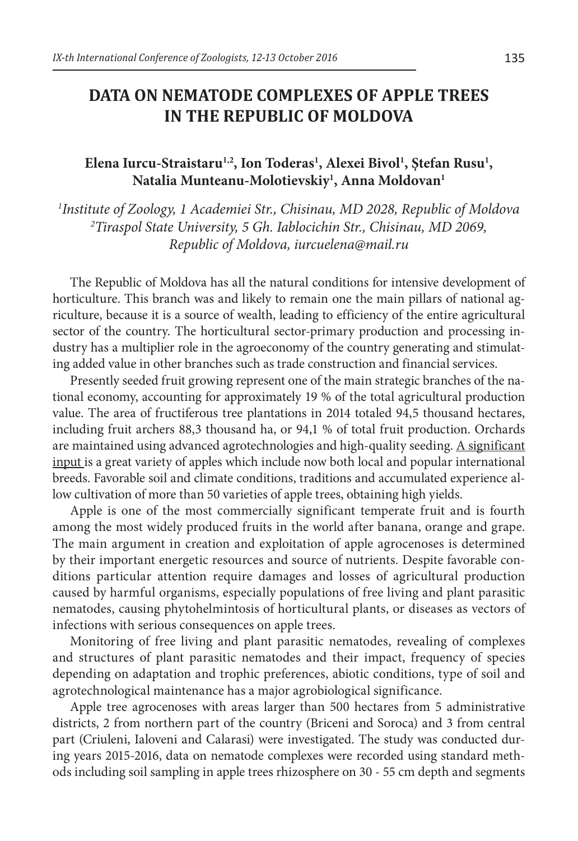## **DATA ON NEMATODE COMPLEXES OF APPLE TREES IN THE REPUBLIC OF MOLDOVA**

## Elena Iurcu-Straistaru<sup>1,2</sup>, Ion Toderas<sup>1</sup>, Alexei Bivol<sup>1</sup>, Ştefan Rusu<sup>1</sup>, **Natalia Munteanu-Molotievskiy1 , Anna Moldovan1**

*1 Institute of Zoology, 1 Academiei Str., Chisinau, MD 2028, Republic of Moldova 2 Tiraspol State University, 5 Gh. Iablocichin Str., Chisinau, MD 2069, Republic of Moldova, iurcuelena@mail.ru*

The Republic of Moldova has all the natural conditions for intensive development of horticulture. This branch was and likely to remain one the main pillars of national agriculture, because it is a source of wealth, leading to efficiency of the entire agricultural sector of the country. The horticultural sector-primary production and processing industry has a multiplier role in the agroeconomy of the country generating and stimulating added value in other branches such as trade construction and financial services.

Presently seeded fruit growing represent one of the main strategic branches of the national economy, accounting for approximately 19 % of the total agricultural production value. The area of fructiferous tree plantations in 2014 totaled 94,5 thousand hectares, including fruit archers 88,3 thousand ha, or 94,1 % of total fruit production. Orchards are maintained using advanced agrotechnologies and high-quality seeding. A significant input is a great variety of apples which include now both local and popular international breeds. Favorable soil and climate conditions, traditions and accumulated experience allow cultivation of more than 50 varieties of apple trees, obtaining high yields.

Apple is one of the most commercially significant temperate fruit and is fourth among the most widely produced fruits in the world after banana, orange and grape. The main argument in creation and exploitation of apple agrocenoses is determined by their important energetic resources and source of nutrients. Despite favorable conditions particular attention require damages and losses of agricultural production caused by harmful organisms, especially populations of free living and plant parasitic nematodes, causing phytohelmintosis of horticultural plants, or diseases as vectors of infections with serious consequences on apple trees.

Monitoring of free living and plant parasitic nematodes, revealing of complexes and structures of plant parasitic nematodes and their impact, frequency of species depending on adaptation and trophic preferences, abiotic conditions, type of soil and agrotechnological maintenance has a major agrobiological significance.

Apple tree agrocenoses with areas larger than 500 hectares from 5 administrative districts, 2 from northern part of the country (Briceni and Soroca) and 3 from central part (Criuleni, Ialoveni and Calarasi) were investigated. The study was conducted during years 2015-2016, data on nematode complexes were recorded using standard methods including soil sampling in apple trees rhizosphere on 30 - 55 cm depth and segments